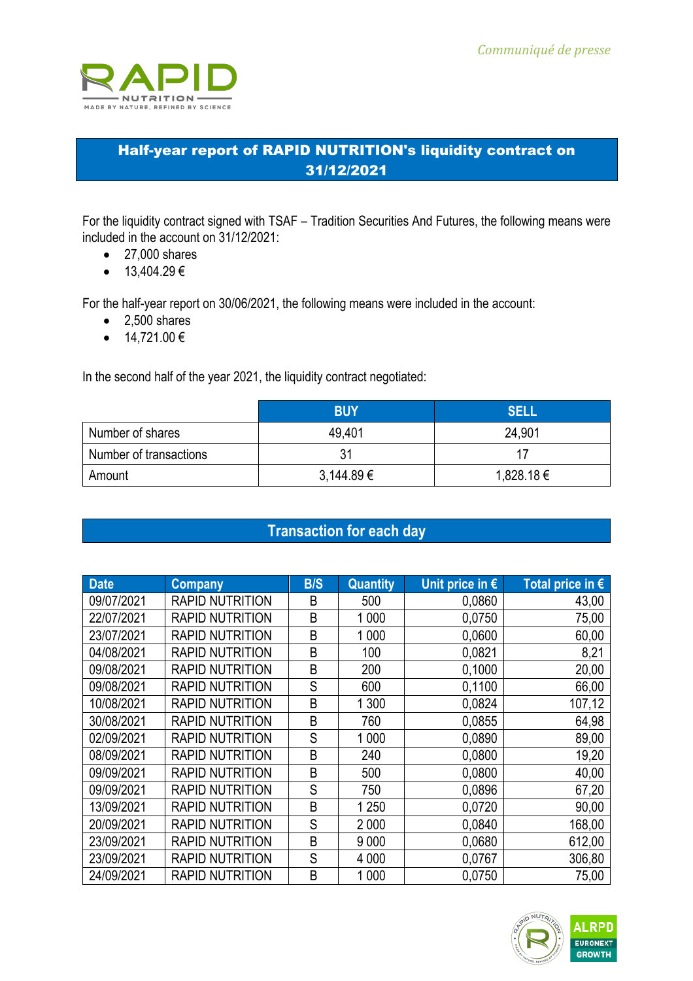

## Half-year report of RAPID NUTRITION's liquidity contract on 31/12/2021

For the liquidity contract signed with TSAF – Tradition Securities And Futures, the following means were included in the account on 31/12/2021:

- 27,000 shares
- $13,404.29 \in$

For the half-year report on 30/06/2021, the following means were included in the account:

- 2.500 shares
- $14,721.00 \in$

In the second half of the year 2021, the liquidity contract negotiated:

|                        | <b>BUY</b>     | <b>SELL</b> |
|------------------------|----------------|-------------|
| Number of shares       | 49,401         | 24,901      |
| Number of transactions | 31             |             |
| Amount                 | $3,144.89 \in$ | 1,828.18 €  |

## **Transaction for each day**

| <b>Date</b> | <b>Company</b>         | <b>B/S</b> | <b>Quantity</b> | Unit price in $\epsilon$ | Total price in $\epsilon$ |
|-------------|------------------------|------------|-----------------|--------------------------|---------------------------|
| 09/07/2021  | <b>RAPID NUTRITION</b> | B          | 500             | 0,0860                   | 43,00                     |
| 22/07/2021  | <b>RAPID NUTRITION</b> | B          | 1 0 0 0         | 0,0750                   | 75,00                     |
| 23/07/2021  | <b>RAPID NUTRITION</b> | B          | 1 0 0 0         | 0,0600                   | 60,00                     |
| 04/08/2021  | <b>RAPID NUTRITION</b> | B          | 100             | 0,0821                   | 8,21                      |
| 09/08/2021  | <b>RAPID NUTRITION</b> | B          | 200             | 0,1000                   | 20,00                     |
| 09/08/2021  | <b>RAPID NUTRITION</b> | S          | 600             | 0,1100                   | 66,00                     |
| 10/08/2021  | <b>RAPID NUTRITION</b> | B          | 1 300           | 0,0824                   | 107,12                    |
| 30/08/2021  | <b>RAPID NUTRITION</b> | B          | 760             | 0,0855                   | 64,98                     |
| 02/09/2021  | <b>RAPID NUTRITION</b> | S          | 1 0 0 0         | 0,0890                   | 89,00                     |
| 08/09/2021  | <b>RAPID NUTRITION</b> | B          | 240             | 0,0800                   | 19,20                     |
| 09/09/2021  | <b>RAPID NUTRITION</b> | B          | 500             | 0,0800                   | 40,00                     |
| 09/09/2021  | <b>RAPID NUTRITION</b> | S          | 750             | 0,0896                   | 67,20                     |
| 13/09/2021  | <b>RAPID NUTRITION</b> | B          | 1 2 5 0         | 0,0720                   | 90,00                     |
| 20/09/2021  | <b>RAPID NUTRITION</b> | S          | 2 0 0 0         | 0,0840                   | 168,00                    |
| 23/09/2021  | <b>RAPID NUTRITION</b> | B          | 9 0 0 0         | 0,0680                   | 612,00                    |
| 23/09/2021  | <b>RAPID NUTRITION</b> | S          | 4 0 0 0         | 0,0767                   | 306,80                    |
| 24/09/2021  | <b>RAPID NUTRITION</b> | B          | 1 0 0 0         | 0,0750                   | 75,00                     |